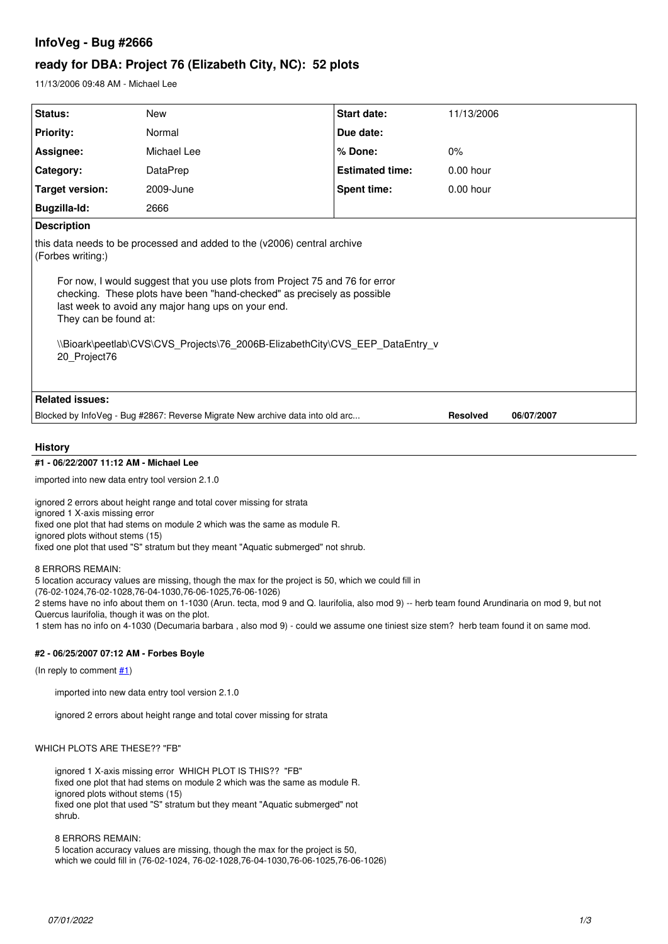# **InfoVeg - Bug #2666**

# **ready for DBA: Project 76 (Elizabeth City, NC): 52 plots**

11/13/2006 09:48 AM - Michael Lee

| Status:                                                                                                                                                                                                                                                                                                                                                                                                                                 | <b>New</b>  | Start date:            | 11/13/2006      |            |
|-----------------------------------------------------------------------------------------------------------------------------------------------------------------------------------------------------------------------------------------------------------------------------------------------------------------------------------------------------------------------------------------------------------------------------------------|-------------|------------------------|-----------------|------------|
|                                                                                                                                                                                                                                                                                                                                                                                                                                         |             |                        |                 |            |
| <b>Priority:</b>                                                                                                                                                                                                                                                                                                                                                                                                                        | Normal      | Due date:              |                 |            |
| Assignee:                                                                                                                                                                                                                                                                                                                                                                                                                               | Michael Lee | % Done:                | 0%              |            |
| Category:                                                                                                                                                                                                                                                                                                                                                                                                                               | DataPrep    | <b>Estimated time:</b> | $0.00$ hour     |            |
| Target version:                                                                                                                                                                                                                                                                                                                                                                                                                         | 2009-June   | <b>Spent time:</b>     | $0.00$ hour     |            |
| Bugzilla-Id:                                                                                                                                                                                                                                                                                                                                                                                                                            | 2666        |                        |                 |            |
| <b>Description</b>                                                                                                                                                                                                                                                                                                                                                                                                                      |             |                        |                 |            |
| this data needs to be processed and added to the (v2006) central archive<br>(Forbes writing:)<br>For now, I would suggest that you use plots from Project 75 and 76 for error<br>checking. These plots have been "hand-checked" as precisely as possible<br>last week to avoid any major hang ups on your end.<br>They can be found at:<br>\\Bioark\peetlab\CVS\CVS_Projects\76_2006B-ElizabethCity\CVS_EEP_DataEntry_v<br>20 Project76 |             |                        |                 |            |
| <b>Related issues:</b>                                                                                                                                                                                                                                                                                                                                                                                                                  |             |                        |                 |            |
| Blocked by InfoVeg - Bug #2867: Reverse Migrate New archive data into old arc                                                                                                                                                                                                                                                                                                                                                           |             |                        | <b>Resolved</b> | 06/07/2007 |

## **History**

### **#1 - 06/22/2007 11:12 AM - Michael Lee**

imported into new data entry tool version 2.1.0

ignored 2 errors about height range and total cover missing for strata ignored 1 X-axis missing error fixed one plot that had stems on module 2 which was the same as module R. ignored plots without stems (15) fixed one plot that used "S" stratum but they meant "Aquatic submerged" not shrub.

#### 8 ERRORS REMAIN:

5 location accuracy values are missing, though the max for the project is 50, which we could fill in

(76-02-1024,76-02-1028,76-04-1030,76-06-1025,76-06-1026)

2 stems have no info about them on 1-1030 (Arun. tecta, mod 9 and Q. laurifolia, also mod 9) -- herb team found Arundinaria on mod 9, but not Quercus laurifolia, though it was on the plot.

1 stem has no info on 4-1030 (Decumaria barbara , also mod 9) - could we assume one tiniest size stem? herb team found it on same mod.

### **#2 - 06/25/2007 07:12 AM - Forbes Boyle**

(In reply to comment [#1](https://projects.ecoinformatics.org/ecoinfo/issues/1))

imported into new data entry tool version 2.1.0

ignored 2 errors about height range and total cover missing for strata

#### WHICH PLOTS ARE THESE?? "FB"

ignored 1 X-axis missing error WHICH PLOT IS THIS?? "FB" fixed one plot that had stems on module 2 which was the same as module R. ignored plots without stems (15) fixed one plot that used "S" stratum but they meant "Aquatic submerged" not shrub.

#### 8 ERRORS REMAIN:

5 location accuracy values are missing, though the max for the project is 50, which we could fill in (76-02-1024, 76-02-1028,76-04-1030,76-06-1025,76-06-1026)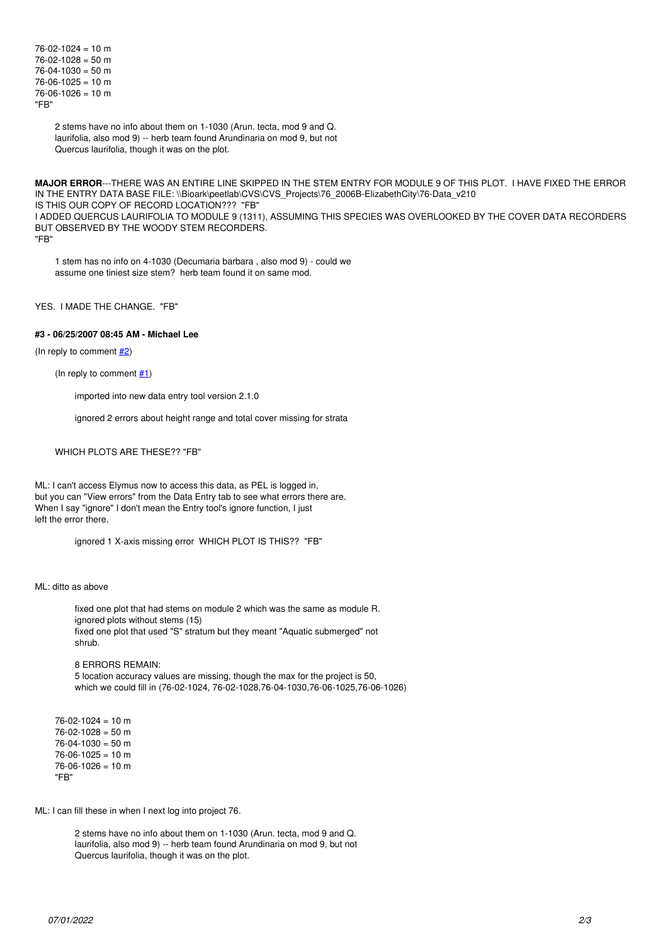```
76 - 02 - 1024 = 10 m
76 - 02 - 1028 = 50 m
76 - 04 - 1030 = 50 m
76 - 06 - 1025 = 10 m
76 - 06 - 1026 = 10 m
"FB"
```
2 stems have no info about them on 1-1030 (Arun. tecta, mod 9 and Q. laurifolia, also mod 9) -- herb team found Arundinaria on mod 9, but not Quercus laurifolia, though it was on the plot.

**MAJOR ERROR**---THERE WAS AN ENTIRE LINE SKIPPED IN THE STEM ENTRY FOR MODULE 9 OF THIS PLOT. I HAVE FIXED THE ERROR IN THE ENTRY DATA BASE FILE: \\Bioark\peetlab\CVS\CVS\_Projects\76\_2006B-ElizabethCity\76-Data\_v210 IS THIS OUR COPY OF RECORD LOCATION??? "FB" I ADDED QUERCUS LAURIFOLIA TO MODULE 9 (1311), ASSUMING THIS SPECIES WAS OVERLOOKED BY THE COVER DATA RECORDERS BUT OBSERVED BY THE WOODY STEM RECORDERS. "FB"

1 stem has no info on 4-1030 (Decumaria barbara , also mod 9) - could we assume one tiniest size stem? herb team found it on same mod.

### YES. I MADE THE CHANGE. "FB"

#### **#3 - 06/25/2007 08:45 AM - Michael Lee**

(In reply to comment  $\frac{\#2}{\ }$ )

(In reply to comment  $#1$ )

imported into new data entry tool version 2.1.0

ignored 2 errors about height range and total cover missing for strata

### WHICH PLOTS ARE THESE?? "FB"

ML: I can't access Elymus now to access this data, as PEL is logged in, but you can "View errors" from the Data Entry tab to see what errors there are. When I say "ignore" I don't mean the Entry tool's ignore function, I just left the error there.

ignored 1 X-axis missing error WHICH PLOT IS THIS?? "FB"

#### ML: ditto as above

fixed one plot that had stems on module 2 which was the same as module R. ignored plots without stems (15) fixed one plot that used "S" stratum but they meant "Aquatic submerged" not shrub.

8 ERRORS REMAIN: 5 location accuracy values are missing, though the max for the project is 50, which we could fill in (76-02-1024, 76-02-1028,76-04-1030,76-06-1025,76-06-1026)

 $76 - 02 - 1024 = 10$  m  $76 - 02 - 1028 = 50$  m  $76 - 04 - 1030 = 50$  m  $76-06-1025 = 10$  m  $76 - 06 - 1026 = 10$  m "FB"

ML: I can fill these in when I next log into project 76.

2 stems have no info about them on 1-1030 (Arun. tecta, mod 9 and Q. laurifolia, also mod 9) -- herb team found Arundinaria on mod 9, but not Quercus laurifolia, though it was on the plot.